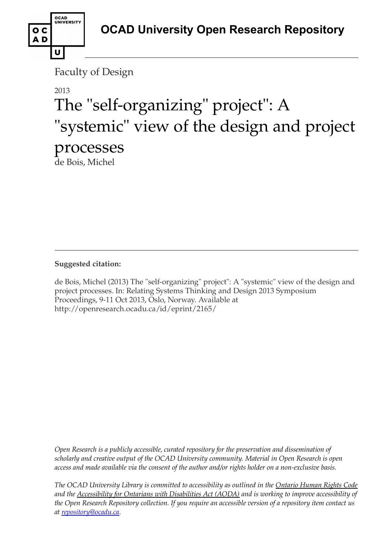

Faculty of Design

# 2013 The "self-organizing" project": A "systemic" view of the design and project processes de Bois, Michel

**Suggested citation:** 

de Bois, Michel (2013) The "self-organizing" project": A "systemic" view of the design and project processes. In: Relating Systems Thinking and Design 2013 Symposium Proceedings, 9-11 Oct 2013, Oslo, Norway. Available at http://openresearch.ocadu.ca/id/eprint/2165/

*Open Research is a publicly accessible, curated repository for the preservation and dissemination of scholarly and creative output of the OCAD University community. Material in Open Research is open access and made available via the consent of the author and/or rights holder on a non-exclusive basis.* 

*The OCAD University Library is committed to accessibility as outlined in the Ontario Human Rights Code and the Accessibility for Ontarians with Disabilities Act (AODA) and is working to improve accessibility of the Open Research Repository collection. If you require an accessible version of a repository item contact us at [repository@ocadu.ca.](mailto:repository@ocadu.ca)*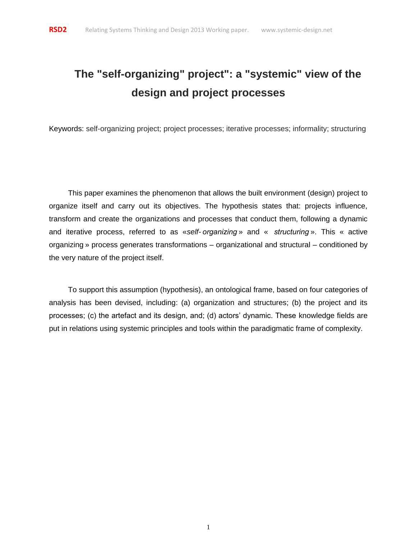# **The "self-organizing" project": a "systemic" view of the design and project processes**

Keywords: self-organizing project; project processes; iterative processes; informality; structuring

This paper examines the phenomenon that allows the built environment (design) project to organize itself and carry out its objectives. The hypothesis states that: projects influence, transform and create the organizations and processes that conduct them, following a dynamic and iterative process, referred to as «*self- organizing*» and « *structuring*». This « active organizing » process generates transformations – organizational and structural – conditioned by the very nature of the project itself.

To support this assumption (hypothesis), an ontological frame, based on four categories of analysis has been devised, including: (a) organization and structures; (b) the project and its processes; (c) the artefact and its design, and; (d) actors' dynamic. These knowledge fields are put in relations using systemic principles and tools within the paradigmatic frame of complexity.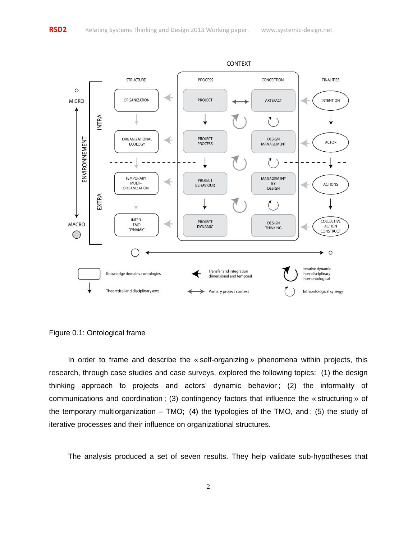

Figure 0.1: Ontological frame

In order to frame and describe the « self-organizing » phenomena within projects, this research, through case studies and case surveys, explored the following topics: (1) the design thinking approach to projects and actors' dynamic behavior ; (2) the informality of communications and coordination ; (3) contingency factors that influence the « structuring » of the temporary multiorganization – TMO; (4) the typologies of the TMO, and ; (5) the study of iterative processes and their influence on organizational structures.

The analysis produced a set of seven results. They help validate sub-hypotheses that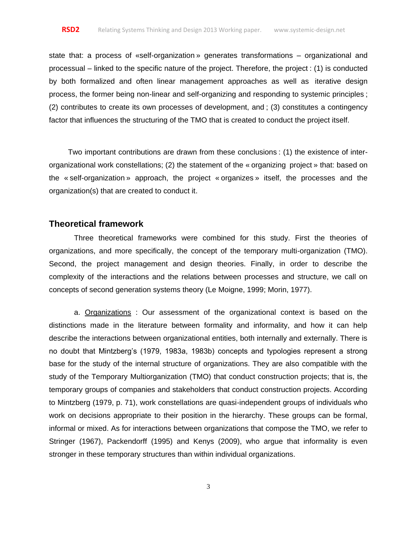state that: a process of «self-organization » generates transformations – organizational and processual – linked to the specific nature of the project. Therefore, the project : (1) is conducted by both formalized and often linear management approaches as well as iterative design process, the former being non-linear and self-organizing and responding to systemic principles ; (2) contributes to create its own processes of development, and ; (3) constitutes a contingency factor that influences the structuring of the TMO that is created to conduct the project itself.

Two important contributions are drawn from these conclusions : (1) the existence of interorganizational work constellations; (2) the statement of the « organizing project » that: based on the « self-organization » approach, the project « organizes » itself, the processes and the organization(s) that are created to conduct it.

### **Theoretical framework**

Three theoretical frameworks were combined for this study. First the theories of organizations, and more specifically, the concept of the temporary multi-organization (TMO). Second, the project management and design theories. Finally, in order to describe the complexity of the interactions and the relations between processes and structure, we call on concepts of second generation systems theory (Le Moigne, 1999; Morin, 1977).

a. Organizations   : Our assessment of the organizational context is based on the distinctions made in the literature between formality and informality, and how it can help describe the interactions between organizational entities, both internally and externally. There is no doubt that Mintzberg's (1979, 1983a, 1983b) concepts and typologies represent a strong base for the study of the internal structure of organizations. They are also compatible with the study of the Temporary Multiorganization (TMO) that conduct construction projects; that is, the temporary groups of companies and stakeholders that conduct construction projects. According to Mintzberg (1979, p. 71), work constellations are quasi-independent groups of individuals who work on decisions appropriate to their position in the hierarchy. These groups can be formal, informal or mixed. As for interactions between organizations that compose the TMO, we refer to Stringer (1967), Packendorff (1995) and Kenys (2009), who argue that informality is even stronger in these temporary structures than within individual organizations.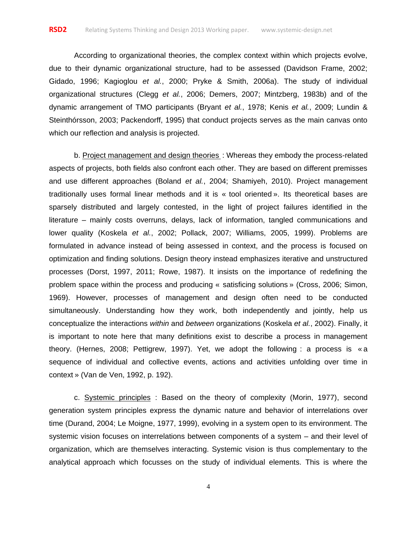According to organizational theories, the complex context within which projects evolve, due to their dynamic organizational structure, had to be assessed (Davidson Frame, 2002; Gidado, 1996; Kagioglou *et al.*, 2000; Pryke & Smith, 2006a). The study of individual organizational structures (Clegg *et al.*, 2006; Demers, 2007; Mintzberg, 1983b) and of the dynamic arrangement of TMO participants (Bryant *et al.*, 1978; Kenis *et al.*, 2009; Lundin & Steinthórsson, 2003; Packendorff, 1995) that conduct projects serves as the main canvas onto which our reflection and analysis is projected.

b. Project management and design theories : Whereas they embody the process-related aspects of projects, both fields also confront each other. They are based on different premisses and use different approaches (Boland *et al.*, 2004; Shamiyeh, 2010). Project management traditionally uses formal linear methods and it is «  tool oriented ». Its theoretical bases are sparsely distributed and largely contested, in the light of project failures identified in the literature – mainly costs overruns, delays, lack of information, tangled communications and lower quality (Koskela *et al.*, 2002; Pollack, 2007; Williams, 2005, 1999). Problems are formulated in advance instead of being assessed in context, and the process is focused on optimization and finding solutions. Design theory instead emphasizes iterative and unstructured processes (Dorst, 1997, 2011; Rowe, 1987). It insists on the importance of redefining the problem space within the process and producing «  satisficing solutions » (Cross, 2006; Simon, 1969). However, processes of management and design often need to be conducted simultaneously. Understanding how they work, both independently and jointly, help us conceptualize the interactions *within* and *between* organizations (Koskela *et al.*, 2002). Finally, it is important to note here that many definitions exist to describe a process in management theory. (Hernes, 2008; Pettigrew, 1997). Yet, we adopt the following  : a process is « a sequence of individual and collective events, actions and activities unfolding over time in context » (Van de Ven, 1992, p. 192).

c. Systemic principles   : Based on the theory of complexity (Morin, 1977), second generation system principles express the dynamic nature and behavior of interrelations over time (Durand, 2004; Le Moigne, 1977, 1999), evolving in a system open to its environment. The systemic vision focuses on interrelations between components of a system – and their level of organization, which are themselves interacting. Systemic vision is thus complementary to the analytical approach which focusses on the study of individual elements. This is where the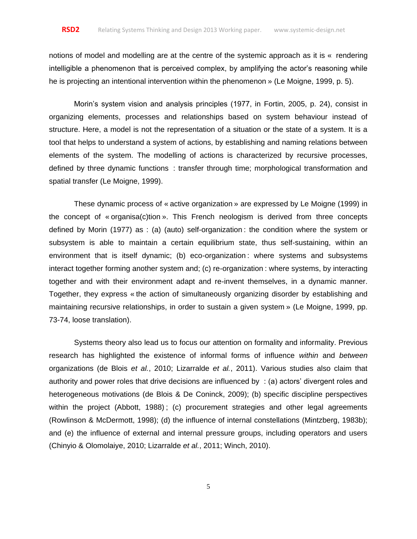notions of model and modelling are at the centre of the systemic approach as it is « rendering intelligible a phenomenon that is perceived complex, by amplifying the actor's reasoning while he is projecting an intentional intervention within the phenomenon » (Le Moigne, 1999, p. 5).

Morin's system vision and analysis principles (1977, in Fortin, 2005, p. 24), consist in organizing elements, processes and relationships based on system behaviour instead of structure. Here, a model is not the representation of a situation or the state of a system. It is a tool that helps to understand a system of actions, by establishing and naming relations between elements of the system. The modelling of actions is characterized by recursive processes, defined by three dynamic functions   : transfer through time; morphological transformation and spatial transfer (Le Moigne, 1999).

These dynamic process of « active organization » are expressed by Le Moigne (1999) in the concept of « organisa(c)tion ». This French neologism is derived from three concepts defined by Morin (1977) as  : (a) (auto) self-organization : the condition where the system or subsystem is able to maintain a certain equilibrium state, thus self-sustaining, within an environment that is itself dynamic; (b) eco-organization : where systems and subsystems interact together forming another system and; (c) re-organization : where systems, by interacting together and with their environment adapt and re-invent themselves, in a dynamic manner. Together, they express « the action of simultaneously organizing disorder by establishing and maintaining recursive relationships, in order to sustain a given system » (Le Moigne, 1999, pp. 73-74, loose translation).

Systems theory also lead us to focus our attention on formality and informality. Previous research has highlighted the existence of informal forms of influence *within* and *between*  organizations (de Blois *et al.*, 2010; Lizarralde *et al.*, 2011). Various studies also claim that authority and power roles that drive decisions are influenced by   : (a) actors' divergent roles and heterogeneous motivations (de Blois & De Coninck, 2009); (b) specific discipline perspectives within the project (Abbott, 1988) ; (c) procurement strategies and other legal agreements (Rowlinson & McDermott, 1998); (d) the influence of internal constellations (Mintzberg, 1983b); and (e) the influence of external and internal pressure groups, including operators and users (Chinyio & Olomolaiye, 2010; Lizarralde *et al.*, 2011; Winch, 2010).

5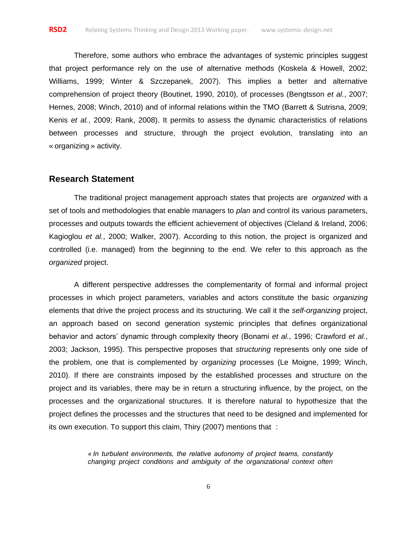Therefore, some authors who embrace the advantages of systemic principles suggest that project performance rely on the use of alternative methods (Koskela & Howell, 2002; Williams, 1999; Winter & Szczepanek, 2007). This implies a better and alternative comprehension of project theory (Boutinet, 1990, 2010), of processes (Bengtsson *et al.*, 2007; Hernes, 2008; Winch, 2010) and of informal relations within the TMO (Barrett & Sutrisna, 2009; Kenis *et al.*, 2009; Rank, 2008). It permits to assess the dynamic characteristics of relations between processes and structure, through the project evolution, translating into an « organizing » activity.

#### **Research Statement**

The traditional project management approach states that projects are *organized* with a set of tools and methodologies that enable managers to *plan* and control its various parameters, processes and outputs towards the efficient achievement of objectives (Cleland & Ireland, 2006; Kagioglou *et al.*, 2000; Walker, 2007). According to this notion, the project is organized and controlled (i.e. managed) from the beginning to the end. We refer to this approach as the *organized* project.

A different perspective addresses the complementarity of formal and informal project processes in which project parameters, variables and actors constitute the basic *organizing*  elements that drive the project process and its structuring. We call it the *self-organizing* project, an approach based on second generation systemic principles that defines organizational behavior and actors' dynamic through complexity theory (Bonami *et al.*, 1996; Crawford *et al.*, 2003; Jackson, 1995). This perspective proposes that *structuring* represents only one side of the problem, one that is complemented by *organizing* processes (Le Moigne, 1999; Winch, 2010). If there are constraints imposed by the established processes and structure on the project and its variables, there may be in return a structuring influence, by the project, on the processes and the organizational structures. It is therefore natural to hypothesize that the project defines the processes and the structures that need to be designed and implemented for its own execution. To support this claim, Thiry (2007) mentions that   :

> *« In turbulent environments, the relative autonomy of project teams, constantly changing project conditions and ambiguity of the organizational context often*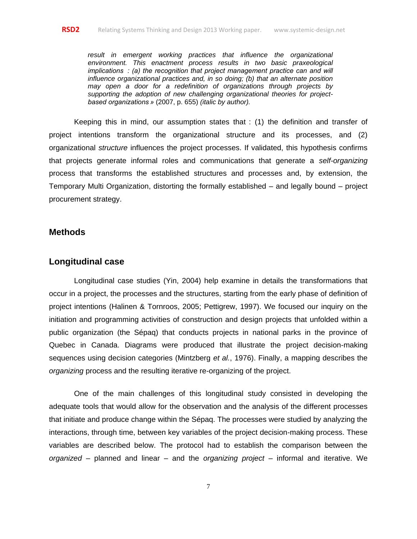*result in emergent working practices that influence the organizational environment. This enactment process results in two basic praxeological implications   : (a) the recognition that project management practice can and will influence organizational practices and, in so doing; (b) that an alternate position may open a door for a redefinition of organizations through projects by supporting the adoption of new challenging organizational theories for projectbased organizations »* (2007, p. 655) *(italic by author).*

Keeping this in mind, our assumption states that  : (1) the definition and transfer of project intentions transform the organizational structure and its processes, and (2) organizational *structure* influences the project processes. If validated, this hypothesis confirms that projects generate informal roles and communications that generate a *self-organizing*  process that transforms the established structures and processes and, by extension, the Temporary Multi Organization, distorting the formally established – and legally bound – project procurement strategy.

### **Methods**

## **Longitudinal case**

Longitudinal case studies (Yin, 2004) help examine in details the transformations that occur in a project, the processes and the structures, starting from the early phase of definition of project intentions (Halinen & Tornroos, 2005; Pettigrew, 1997). We focused our inquiry on the initiation and programming activities of construction and design projects that unfolded within a public organization (the Sépaq) that conducts projects in national parks in the province of Quebec in Canada. Diagrams were produced that illustrate the project decision-making sequences using decision categories (Mintzberg *et al.*, 1976). Finally, a mapping describes the *organizing* process and the resulting iterative re-organizing of the project.

One of the main challenges of this longitudinal study consisted in developing the adequate tools that would allow for the observation and the analysis of the different processes that initiate and produce change within the Sépaq. The processes were studied by analyzing the interactions, through time, between key variables of the project decision-making process. These variables are described below. The protocol had to establish the comparison between the *organized* – planned and linear – and the *organizing project* – informal and iterative. We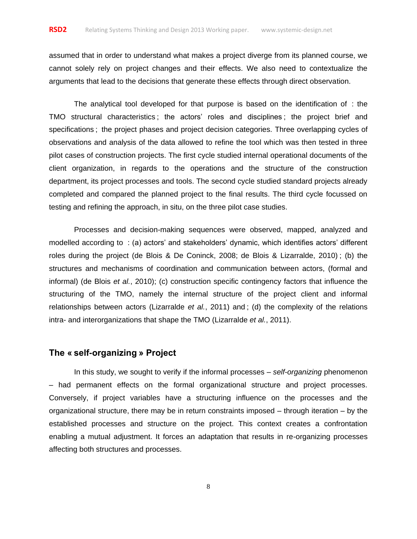assumed that in order to understand what makes a project diverge from its planned course, we cannot solely rely on project changes and their effects. We also need to contextualize the arguments that lead to the decisions that generate these effects through direct observation.

The analytical tool developed for that purpose is based on the identification of   : the TMO structural characteristics ; the actors' roles and disciplines ; the project brief and specifications ; the project phases and project decision categories. Three overlapping cycles of observations and analysis of the data allowed to refine the tool which was then tested in three pilot cases of construction projects. The first cycle studied internal operational documents of the client organization, in regards to the operations and the structure of the construction department, its project processes and tools. The second cycle studied standard projects already completed and compared the planned project to the final results. The third cycle focussed on testing and refining the approach, in situ, on the three pilot case studies.

Processes and decision-making sequences were observed, mapped, analyzed and modelled according to   : (a) actors' and stakeholders' dynamic, which identifies actors' different roles during the project (de Blois & De Coninck, 2008; de Blois & Lizarralde, 2010) ; (b) the structures and mechanisms of coordination and communication between actors, (formal and informal) (de Blois *et al.*, 2010); (c) construction specific contingency factors that influence the structuring of the TMO, namely the internal structure of the project client and informal relationships between actors (Lizarralde *et al.*, 2011) and ; (d) the complexity of the relations intra- and interorganizations that shape the TMO (Lizarralde *et al.*, 2011).

# **The « self-organizing » Project**

In this study, we sought to verify if the informal processes – *self-organizing* phenomenon – had permanent effects on the formal organizational structure and project processes. Conversely, if project variables have a structuring influence on the processes and the organizational structure, there may be in return constraints imposed – through iteration – by the established processes and structure on the project. This context creates a confrontation enabling a mutual adjustment. It forces an adaptation that results in re-organizing processes affecting both structures and processes.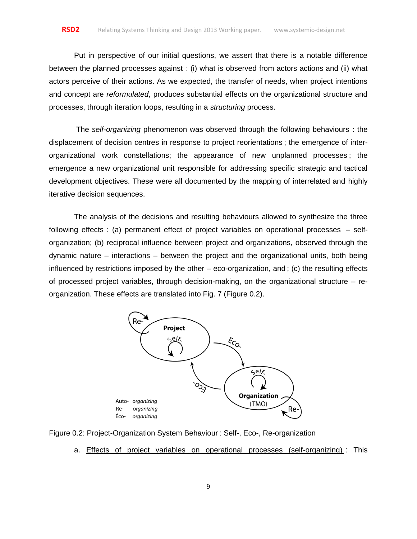Put in perspective of our initial questions, we assert that there is a notable difference between the planned processes against  : (i) what is observed from actors actions and (ii) what actors perceive of their actions. As we expected, the transfer of needs, when project intentions and concept are *reformulated*, produces substantial effects on the organizational structure and processes, through iteration loops, resulting in a *structuring* process.

The *self-organizing* phenomenon was observed through the following behaviours  : the displacement of decision centres in response to project reorientations ; the emergence of interorganizational work constellations; the appearance of new unplanned processes ; the emergence a new organizational unit responsible for addressing specific strategic and tactical development objectives. These were all documented by the mapping of interrelated and highly iterative decision sequences.

The analysis of the decisions and resulting behaviours allowed to synthesize the three following effects  : (a) permanent effect of project variables on operational processes – selforganization; (b) reciprocal influence between project and organizations, observed through the dynamic nature – interactions – between the project and the organizational units, both being influenced by restrictions imposed by the other – eco-organization, and ; (c) the resulting effects of processed project variables, through decision-making, on the organizational structure – reorganization. These effects are translated into Fig. 7 (Figure 0.2).





a. Effects of project variables on operational processes (self-organizing) : This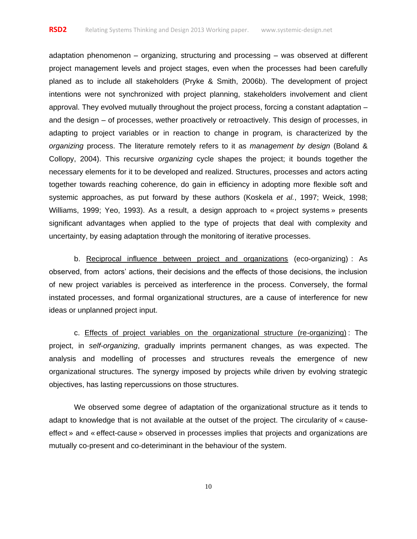adaptation phenomenon – organizing, structuring and processing – was observed at different project management levels and project stages, even when the processes had been carefully planed as to include all stakeholders (Pryke & Smith, 2006b). The development of project intentions were not synchronized with project planning, stakeholders involvement and client approval. They evolved mutually throughout the project process, forcing a constant adaptation – and the design – of processes, wether proactively or retroactively. This design of processes, in adapting to project variables or in reaction to change in program, is characterized by the *organizing* process. The literature remotely refers to it as *management by design* (Boland & Collopy, 2004). This recursive *organizing* cycle shapes the project; it bounds together the necessary elements for it to be developed and realized. Structures, processes and actors acting together towards reaching coherence, do gain in efficiency in adopting more flexible soft and systemic approaches, as put forward by these authors (Koskela *et al.*, 1997; Weick, 1998; Williams, 1999; Yeo, 1993). As a result, a design approach to « project systems » presents significant advantages when applied to the type of projects that deal with complexity and uncertainty, by easing adaptation through the monitoring of iterative processes.

b. Reciprocal influence between project and organizations (eco-organizing)  : As observed, from actors' actions, their decisions and the effects of those decisions, the inclusion of new project variables is perceived as interference in the process. Conversely, the formal instated processes, and formal organizational structures, are a cause of interference for new ideas or unplanned project input.

c. Effects of project variables on the organizational structure (re-organizing) : The project, in *self-organizing*, gradually imprints permanent changes, as was expected. The analysis and modelling of processes and structures reveals the emergence of new organizational structures. The synergy imposed by projects while driven by evolving strategic objectives, has lasting repercussions on those structures.

We observed some degree of adaptation of the organizational structure as it tends to adapt to knowledge that is not available at the outset of the project. The circularity of « causeeffect » and « effect-cause » observed in processes implies that projects and organizations are mutually co-present and co-deteriminant in the behaviour of the system.

10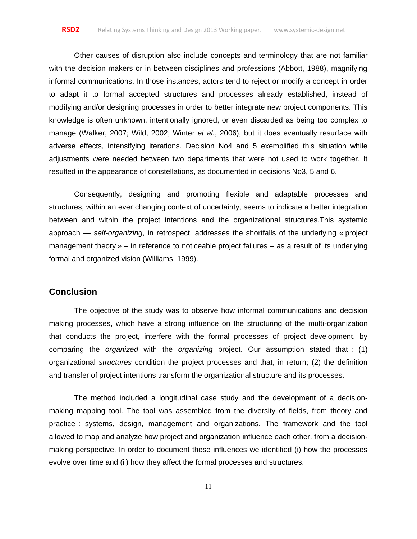Other causes of disruption also include concepts and terminology that are not familiar with the decision makers or in between disciplines and professions (Abbott, 1988), magnifying informal communications. In those instances, actors tend to reject or modify a concept in order to adapt it to formal accepted structures and processes already established, instead of modifying and/or designing processes in order to better integrate new project components. This knowledge is often unknown, intentionally ignored, or even discarded as being too complex to manage (Walker, 2007; Wild, 2002; Winter *et al.*, 2006), but it does eventually resurface with adverse effects, intensifying iterations. Decision No4 and 5 exemplified this situation while adjustments were needed between two departments that were not used to work together. It resulted in the appearance of constellations, as documented in decisions No3, 5 and 6.

Consequently, designing and promoting flexible and adaptable processes and structures, within an ever changing context of uncertainty, seems to indicate a better integration between and within the project intentions and the organizational structures.This systemic approach — *self-organizing*, in retrospect, addresses the shortfalls of the underlying « project management theory » – in reference to noticeable project failures – as a result of its underlying formal and organized vision (Williams, 1999).

# **Conclusion**

The objective of the study was to observe how informal communications and decision making processes, which have a strong influence on the structuring of the multi-organization that conducts the project, interfere with the formal processes of project development, by comparing the *organized* with the *organizing* project. Our assumption stated that  : (1) organizational *structures* condition the project processes and that, in return; (2) the definition and transfer of project intentions transform the organizational structure and its processes.

The method included a longitudinal case study and the development of a decisionmaking mapping tool. The tool was assembled from the diversity of fields, from theory and practice  : systems, design, management and organizations. The framework and the tool allowed to map and analyze how project and organization influence each other, from a decisionmaking perspective. In order to document these influences we identified (i) how the processes evolve over time and (ii) how they affect the formal processes and structures.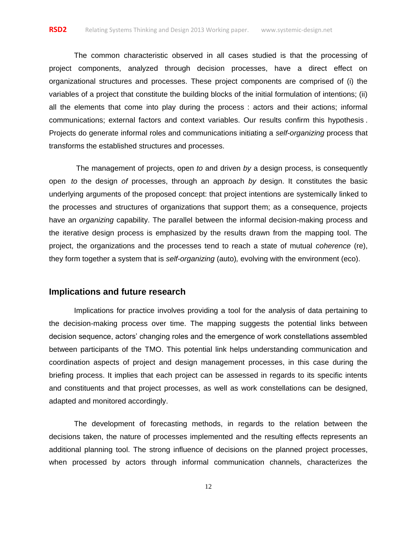The common characteristic observed in all cases studied is that the processing of project components, analyzed through decision processes, have a direct effect on organizational structures and processes. These project components are comprised of (i) the variables of a project that constitute the building blocks of the initial formulation of intentions; (ii) all the elements that come into play during the process  : actors and their actions; informal communications; external factors and context variables. Our results confirm this hypothesis . Projects do generate informal roles and communications initiating a *self-organizing* process that transforms the established structures and processes.

The management of projects, open *to* and driven *by* a design process, is consequently open *to* the design *of* processes, through an approach *by* design. It constitutes the basic underlying arguments of the proposed concept: that project intentions are systemically linked to the processes and structures of organizations that support them; as a consequence, projects have an *organizing* capability. The parallel between the informal decision-making process and the iterative design process is emphasized by the results drawn from the mapping tool. The project, the organizations and the processes tend to reach a state of mutual *coherence* (re), they form together a system that is *self-organizing* (auto)*,* evolving with the environment (eco).

## **Implications and future research**

Implications for practice involves providing a tool for the analysis of data pertaining to the decision-making process over time. The mapping suggests the potential links between decision sequence, actors' changing roles and the emergence of work constellations assembled between participants of the TMO. This potential link helps understanding communication and coordination aspects of project and design management processes, in this case during the briefing process. It implies that each project can be assessed in regards to its specific intents and constituents and that project processes, as well as work constellations can be designed, adapted and monitored accordingly.

The development of forecasting methods, in regards to the relation between the decisions taken, the nature of processes implemented and the resulting effects represents an additional planning tool. The strong influence of decisions on the planned project processes, when processed by actors through informal communication channels, characterizes the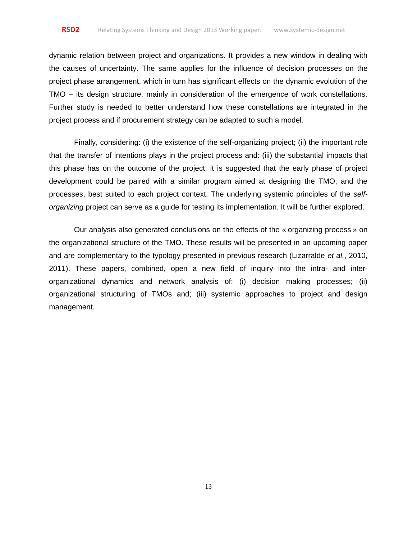dynamic relation between project and organizations. It provides a new window in dealing with the causes of uncertainty. The same applies for the influence of decision processes on the project phase arrangement, which in turn has significant effects on the dynamic evolution of the TMO – its design structure, mainly in consideration of the emergence of work constellations. Further study is needed to better understand how these constellations are integrated in the project process and if procurement strategy can be adapted to such a model.

Finally, considering: (i) the existence of the self-organizing project; (ii) the important role that the transfer of intentions plays in the project process and: (iii) the substantial impacts that this phase has on the outcome of the project, it is suggested that the early phase of project development could be paired with a similar program aimed at designing the TMO, and the processes, best suited to each project context. The underlying systemic principles of the *selforganizing* project can serve as a guide for testing its implementation. It will be further explored.

Our analysis also generated conclusions on the effects of the « organizing process » on the organizational structure of the TMO. These results will be presented in an upcoming paper and are complementary to the typology presented in previous research (Lizarralde *et al.*, 2010, 2011). These papers, combined, open a new field of inquiry into the intra- and interorganizational dynamics and network analysis of: (i) decision making processes; (ii) organizational structuring of TMOs and; (iii) systemic approaches to project and design management.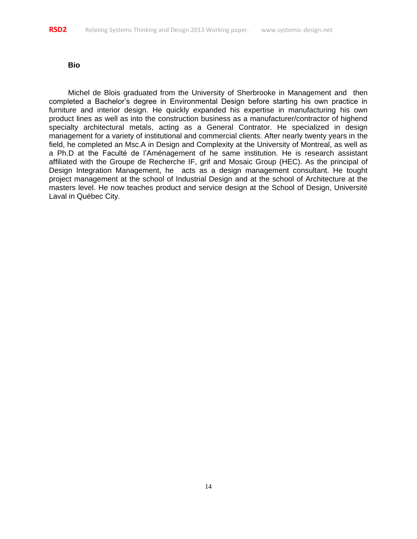#### **Bio**

Michel de Blois graduated from the University of Sherbrooke in Management and then completed a Bachelor's degree in Environmental Design before starting his own practice in furniture and interior design. He quickly expanded his expertise in manufacturing his own product lines as well as into the construction business as a manufacturer/contractor of highend specialty architectural metals, acting as a General Contrator. He specialized in design management for a variety of institutional and commercial clients. After nearly twenty years in the field, he completed an Msc.A in Design and Complexity at the University of Montreal, as well as a Ph.D at the Faculté de l'Aménagement of he same institution. He is research assistant affiliated with the Groupe de Recherche IF, grif and Mosaic Group (HEC). As the principal of Design Integration Management, he acts as a design management consultant. He tought project management at the school of Industrial Design and at the school of Architecture at the masters level. He now teaches product and service design at the School of Design, Université Laval in Québec City.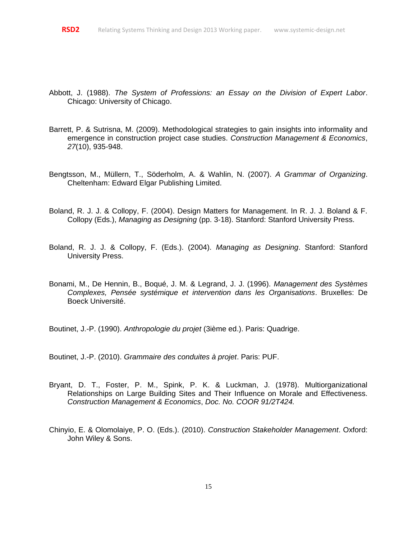- Abbott, J. (1988). *The System of Professions: an Essay on the Division of Expert Labor*. Chicago: University of Chicago.
- Barrett, P. & Sutrisna, M. (2009). Methodological strategies to gain insights into informality and emergence in construction project case studies. *Construction Management & Economics*, *27*(10), 935-948.
- Bengtsson, M., Müllern, T., Söderholm, A. & Wahlin, N. (2007). *A Grammar of Organizing*. Cheltenham: Edward Elgar Publishing Limited.
- Boland, R. J. J. & Collopy, F. (2004). Design Matters for Management. In R. J. J. Boland & F. Collopy (Eds.), *Managing as Designing* (pp. 3-18). Stanford: Stanford University Press.
- Boland, R. J. J. & Collopy, F. (Eds.). (2004). *Managing as Designing*. Stanford: Stanford University Press.
- Bonami, M., De Hennin, B., Boqué, J. M. & Legrand, J. J. (1996). *Management des Systèmes Complexes, Pensée systémique et intervention dans les Organisations*. Bruxelles: De Boeck Université.

Boutinet, J.-P. (1990). *Anthropologie du projet* (3ième ed.). Paris: Quadrige.

Boutinet, J.-P. (2010). *Grammaire des conduites à projet*. Paris: PUF.

- Bryant, D. T., Foster, P. M., Spink, P. K. & Luckman, J. (1978). Multiorganizational Relationships on Large Building Sites and Their Influence on Morale and Effectiveness. *Construction Management & Economics*, *Doc. No. COOR 91/2T424.*
- Chinyio, E. & Olomolaiye, P. O. (Eds.). (2010). *Construction Stakeholder Management*. Oxford: John Wiley & Sons.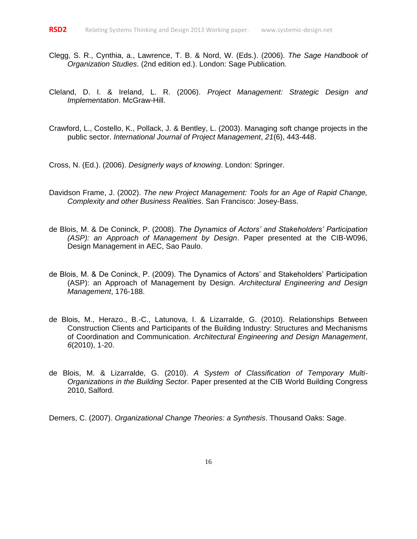- Clegg, S. R., Cynthia, a., Lawrence, T. B. & Nord, W. (Eds.). (2006). *The Sage Handbook of Organization Studies*. (2nd edition ed.). London: Sage Publication.
- Cleland, D. I. & Ireland, L. R. (2006). *Project Management: Strategic Design and Implementation*. McGraw-Hill.
- Crawford, L., Costello, K., Pollack, J. & Bentley, L. (2003). Managing soft change projects in the public sector. *International Journal of Project Management*, *21*(6), 443-448.

Cross, N. (Ed.). (2006). *Designerly ways of knowing*. London: Springer.

- Davidson Frame, J. (2002). *The new Project Management: Tools for an Age of Rapid Change, Complexity and other Business Realities*. San Francisco: Josey-Bass.
- de Blois, M. & De Coninck, P. (2008). *The Dynamics of Actors' and Stakeholders' Participation (ASP): an Approach of Management by Design*. Paper presented at the CIB-W096, Design Management in AEC, Sao Paulo.
- de Blois, M. & De Coninck, P. (2009). The Dynamics of Actors' and Stakeholders' Participation (ASP): an Approach of Management by Design. *Architectural Engineering and Design Management*, 176-188.
- de Blois, M., Herazo., B.-C., Latunova, I. & Lizarralde, G. (2010). Relationships Between Construction Clients and Participants of the Building Industry: Structures and Mechanisms of Coordination and Communication. *Architectural Engineering and Design Management*, *6*(2010), 1-20.
- de Blois, M. & Lizarralde, G. (2010). *A System of Classification of Temporary Multi-Organizations in the Building Sector*. Paper presented at the CIB World Building Congress 2010, Salford.

Demers, C. (2007). *Organizational Change Theories: a Synthesis*. Thousand Oaks: Sage.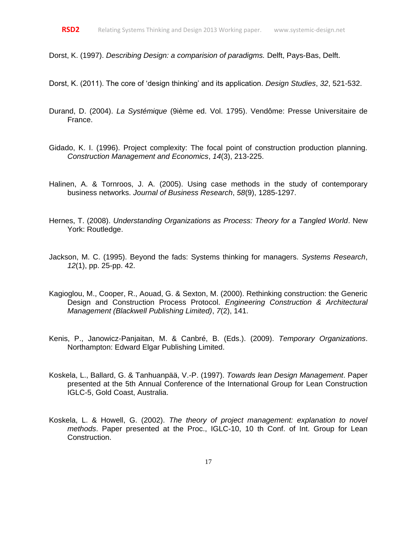Dorst, K. (1997). *Describing Design: a comparision of paradigms.* Delft, Pays-Bas, Delft.

Dorst, K. (2011). The core of 'design thinking' and its application. *Design Studies*, *32*, 521-532.

- Durand, D. (2004). *La Systémique* (9ième ed. Vol. 1795). Vendôme: Presse Universitaire de France.
- Gidado, K. I. (1996). Project complexity: The focal point of construction production planning. *Construction Management and Economics*, *14*(3), 213-225.
- Halinen, A. & Tornroos, J. A. (2005). Using case methods in the study of contemporary business networks. *Journal of Business Research*, *58*(9), 1285-1297.
- Hernes, T. (2008). *Understanding Organizations as Process: Theory for a Tangled World*. New York: Routledge.
- Jackson, M. C. (1995). Beyond the fads: Systems thinking for managers. *Systems Research*, *12*(1), pp. 25-pp. 42.
- Kagioglou, M., Cooper, R., Aouad, G. & Sexton, M. (2000). Rethinking construction: the Generic Design and Construction Process Protocol. *Engineering Construction & Architectural Management (Blackwell Publishing Limited)*, *7*(2), 141.
- Kenis, P., Janowicz-Panjaitan, M. & Canbré, B. (Eds.). (2009). *Temporary Organizations*. Northampton: Edward Elgar Publishing Limited.
- Koskela, L., Ballard, G. & Tanhuanpää, V.-P. (1997). *Towards lean Design Management*. Paper presented at the 5th Annual Conference of the International Group for Lean Construction IGLC-5, Gold Coast, Australia.
- Koskela, L. & Howell, G. (2002). *The theory of project management: explanation to novel methods*. Paper presented at the Proc., IGLC-10, 10 th Conf. of Int. Group for Lean Construction.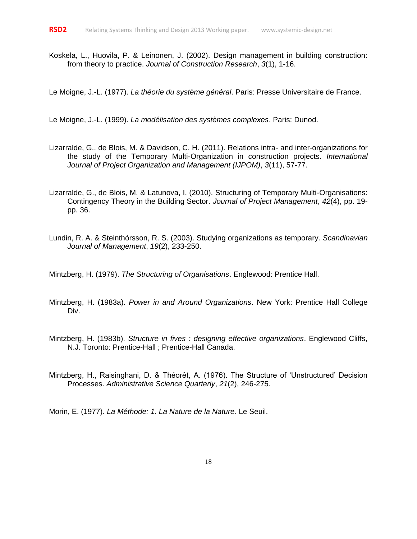Koskela, L., Huovila, P. & Leinonen, J. (2002). Design management in building construction: from theory to practice. *Journal of Construction Research*, *3*(1), 1-16.

Le Moigne, J.-L. (1977). *La théorie du système général*. Paris: Presse Universitaire de France.

Le Moigne, J.-L. (1999). *La modélisation des systèmes complexes*. Paris: Dunod.

- Lizarralde, G., de Blois, M. & Davidson, C. H. (2011). Relations intra- and inter-organizations for the study of the Temporary Multi-Organization in construction projects. *International Journal of Project Organization and Management (IJPOM)*, *3*(11), 57-77.
- Lizarralde, G., de Blois, M. & Latunova, I. (2010). Structuring of Temporary Multi-Organisations: Contingency Theory in the Building Sector. *Journal of Project Management*, *42*(4), pp. 19 pp. 36.
- Lundin, R. A. & Steinthórsson, R. S. (2003). Studying organizations as temporary. *Scandinavian Journal of Management*, *19*(2), 233-250.

Mintzberg, H. (1979). *The Structuring of Organisations*. Englewood: Prentice Hall.

- Mintzberg, H. (1983a). *Power in and Around Organizations*. New York: Prentice Hall College Div.
- Mintzberg, H. (1983b). *Structure in fives : designing effective organizations*. Englewood Cliffs, N.J. Toronto: Prentice-Hall ; Prentice-Hall Canada.
- Mintzberg, H., Raisinghani, D. & Théorêt, A. (1976). The Structure of 'Unstructured' Decision Processes. *Administrative Science Quarterly*, *21*(2), 246-275.

Morin, E. (1977). *La Méthode: 1. La Nature de la Nature*. Le Seuil.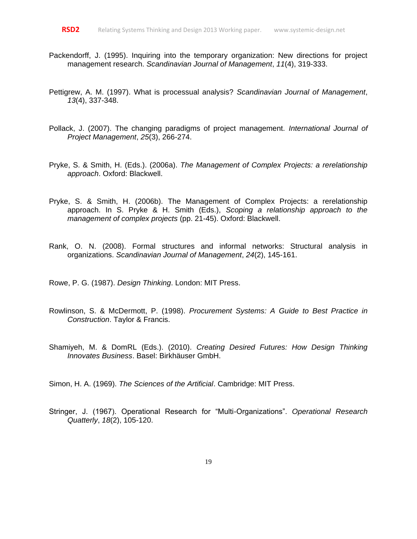- Packendorff, J. (1995). Inquiring into the temporary organization: New directions for project management research. *Scandinavian Journal of Management*, *11*(4), 319-333.
- Pettigrew, A. M. (1997). What is processual analysis? *Scandinavian Journal of Management*, *13*(4), 337-348.
- Pollack, J. (2007). The changing paradigms of project management. *International Journal of Project Management*, *25*(3), 266-274.
- Pryke, S. & Smith, H. (Eds.). (2006a). *The Management of Complex Projects: a rerelationship approach*. Oxford: Blackwell.
- Pryke, S. & Smith, H. (2006b). The Management of Complex Projects: a rerelationship approach. In S. Pryke & H. Smith (Eds.), *Scoping a relationship approach to the management of complex projects* (pp. 21-45). Oxford: Blackwell.
- Rank, O. N. (2008). Formal structures and informal networks: Structural analysis in organizations. *Scandinavian Journal of Management*, *24*(2), 145-161.

Rowe, P. G. (1987). *Design Thinking*. London: MIT Press.

- Rowlinson, S. & McDermott, P. (1998). *Procurement Systems: A Guide to Best Practice in Construction*. Taylor & Francis.
- Shamiyeh, M. & DomRL (Eds.). (2010). *Creating Desired Futures: How Design Thinking Innovates Business*. Basel: Birkhäuser GmbH.

Simon, H. A. (1969). *The Sciences of the Artificial*. Cambridge: MIT Press.

Stringer, J. (1967). Operational Research for "Multi-Organizations". *Operational Research Quatterly*, *18*(2), 105-120.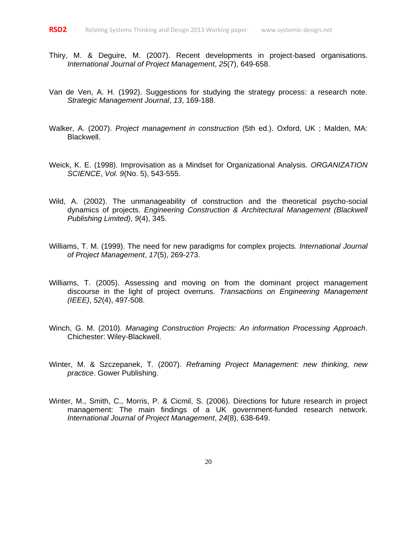- Thiry, M. & Deguire, M. (2007). Recent developments in project-based organisations. *International Journal of Project Management*, *25*(7), 649-658.
- Van de Ven, A. H. (1992). Suggestions for studying the strategy process: a research note. *Strategic Management Journal*, *13*, 169-188.
- Walker, A. (2007). *Project management in construction* (5th ed.). Oxford, UK ; Malden, MA: Blackwell.
- Weick, K. E. (1998). Improvisation as a Mindset for Organizational Analysis. *ORGANIZATION SCIENCE*, *Vol. 9*(No. 5), 543-555.
- Wild, A. (2002). The unmanageability of construction and the theoretical psycho-social dynamics of projects. *Engineering Construction & Architectural Management (Blackwell Publishing Limited)*, *9*(4), 345.
- Williams, T. M. (1999). The need for new paradigms for complex projects. *International Journal of Project Management*, *17*(5), 269-273.
- Williams, T. (2005). Assessing and moving on from the dominant project management discourse in the light of project overruns. *Transactions on Engineering Management (IEEE)*, *52*(4), 497-508.
- Winch, G. M. (2010). *Managing Construction Projects: An information Processing Approach*. Chichester: Wiley-Blackwell.
- Winter, M. & Szczepanek, T. (2007). *Reframing Project Management: new thinking, new practice*. Gower Publishing.
- Winter, M., Smith, C., Morris, P. & Cicmil, S. (2006). Directions for future research in project management: The main findings of a UK government-funded research network. *International Journal of Project Management*, *24*(8), 638-649.